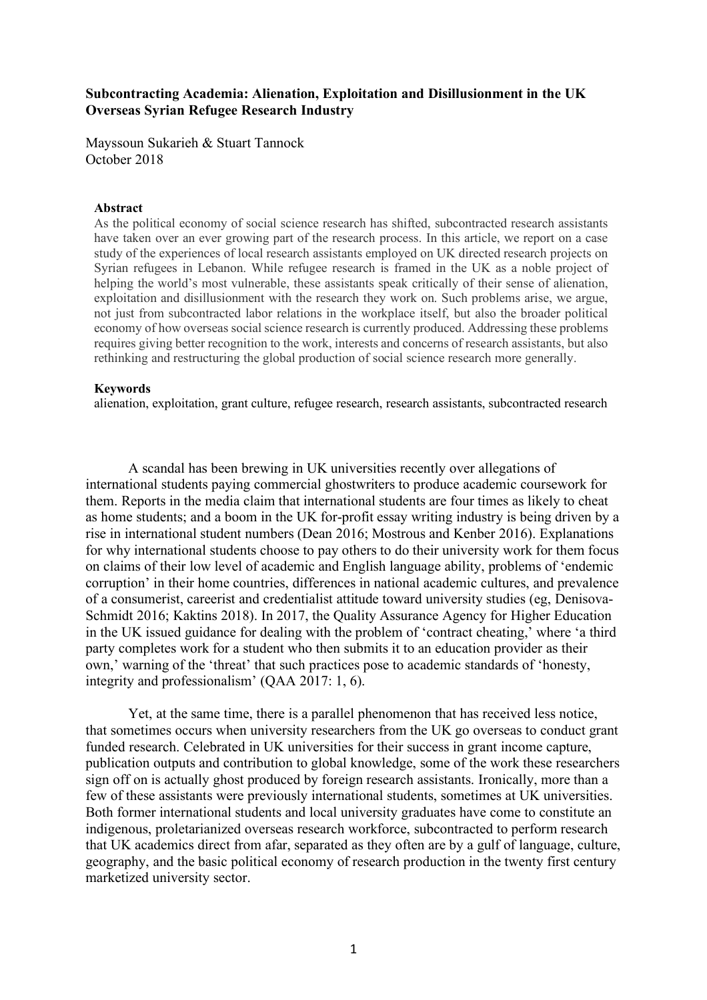# **Subcontracting Academia: Alienation, Exploitation and Disillusionment in the UK Overseas Syrian Refugee Research Industry**

Mayssoun Sukarieh & Stuart Tannock October 2018

#### **Abstract**

As the political economy of social science research has shifted, subcontracted research assistants have taken over an ever growing part of the research process. In this article, we report on a case study of the experiences of local research assistants employed on UK directed research projects on Syrian refugees in Lebanon. While refugee research is framed in the UK as a noble project of helping the world's most vulnerable, these assistants speak critically of their sense of alienation, exploitation and disillusionment with the research they work on. Such problems arise, we argue, not just from subcontracted labor relations in the workplace itself, but also the broader political economy of how overseas social science research is currently produced. Addressing these problems requires giving better recognition to the work, interests and concerns of research assistants, but also rethinking and restructuring the global production of social science research more generally.

### **Keywords**

alienation, exploitation, grant culture, refugee research, research assistants, subcontracted research

A scandal has been brewing in UK universities recently over allegations of international students paying commercial ghostwriters to produce academic coursework for them. Reports in the media claim that international students are four times as likely to cheat as home students; and a boom in the UK for-profit essay writing industry is being driven by a rise in international student numbers (Dean 2016; Mostrous and Kenber 2016). Explanations for why international students choose to pay others to do their university work for them focus on claims of their low level of academic and English language ability, problems of 'endemic corruption' in their home countries, differences in national academic cultures, and prevalence of a consumerist, careerist and credentialist attitude toward university studies (eg, Denisova-Schmidt 2016; Kaktins 2018). In 2017, the Quality Assurance Agency for Higher Education in the UK issued guidance for dealing with the problem of 'contract cheating,' where 'a third party completes work for a student who then submits it to an education provider as their own,' warning of the 'threat' that such practices pose to academic standards of 'honesty, integrity and professionalism' (QAA 2017: 1, 6).

Yet, at the same time, there is a parallel phenomenon that has received less notice, that sometimes occurs when university researchers from the UK go overseas to conduct grant funded research. Celebrated in UK universities for their success in grant income capture, publication outputs and contribution to global knowledge, some of the work these researchers sign off on is actually ghost produced by foreign research assistants. Ironically, more than a few of these assistants were previously international students, sometimes at UK universities. Both former international students and local university graduates have come to constitute an indigenous, proletarianized overseas research workforce, subcontracted to perform research that UK academics direct from afar, separated as they often are by a gulf of language, culture, geography, and the basic political economy of research production in the twenty first century marketized university sector.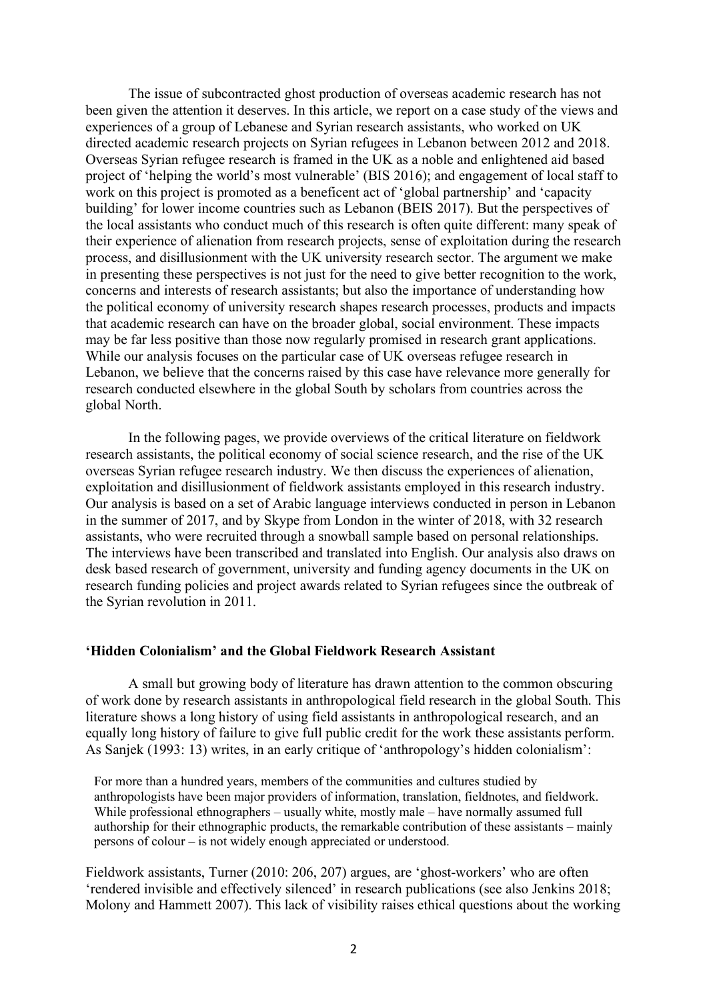The issue of subcontracted ghost production of overseas academic research has not been given the attention it deserves. In this article, we report on a case study of the views and experiences of a group of Lebanese and Syrian research assistants, who worked on UK directed academic research projects on Syrian refugees in Lebanon between 2012 and 2018. Overseas Syrian refugee research is framed in the UK as a noble and enlightened aid based project of 'helping the world's most vulnerable' (BIS 2016); and engagement of local staff to work on this project is promoted as a beneficent act of 'global partnership' and 'capacity building' for lower income countries such as Lebanon (BEIS 2017). But the perspectives of the local assistants who conduct much of this research is often quite different: many speak of their experience of alienation from research projects, sense of exploitation during the research process, and disillusionment with the UK university research sector. The argument we make in presenting these perspectives is not just for the need to give better recognition to the work, concerns and interests of research assistants; but also the importance of understanding how the political economy of university research shapes research processes, products and impacts that academic research can have on the broader global, social environment. These impacts may be far less positive than those now regularly promised in research grant applications. While our analysis focuses on the particular case of UK overseas refugee research in Lebanon, we believe that the concerns raised by this case have relevance more generally for research conducted elsewhere in the global South by scholars from countries across the global North.

In the following pages, we provide overviews of the critical literature on fieldwork research assistants, the political economy of social science research, and the rise of the UK overseas Syrian refugee research industry. We then discuss the experiences of alienation, exploitation and disillusionment of fieldwork assistants employed in this research industry. Our analysis is based on a set of Arabic language interviews conducted in person in Lebanon in the summer of 2017, and by Skype from London in the winter of 2018, with 32 research assistants, who were recruited through a snowball sample based on personal relationships. The interviews have been transcribed and translated into English. Our analysis also draws on desk based research of government, university and funding agency documents in the UK on research funding policies and project awards related to Syrian refugees since the outbreak of the Syrian revolution in 2011.

#### **'Hidden Colonialism' and the Global Fieldwork Research Assistant**

A small but growing body of literature has drawn attention to the common obscuring of work done by research assistants in anthropological field research in the global South. This literature shows a long history of using field assistants in anthropological research, and an equally long history of failure to give full public credit for the work these assistants perform. As Sanjek (1993: 13) writes, in an early critique of 'anthropology's hidden colonialism':

For more than a hundred years, members of the communities and cultures studied by anthropologists have been major providers of information, translation, fieldnotes, and fieldwork. While professional ethnographers – usually white, mostly male – have normally assumed full authorship for their ethnographic products, the remarkable contribution of these assistants – mainly persons of colour – is not widely enough appreciated or understood.

Fieldwork assistants, Turner (2010: 206, 207) argues, are 'ghost-workers' who are often 'rendered invisible and effectively silenced' in research publications (see also Jenkins 2018; Molony and Hammett 2007). This lack of visibility raises ethical questions about the working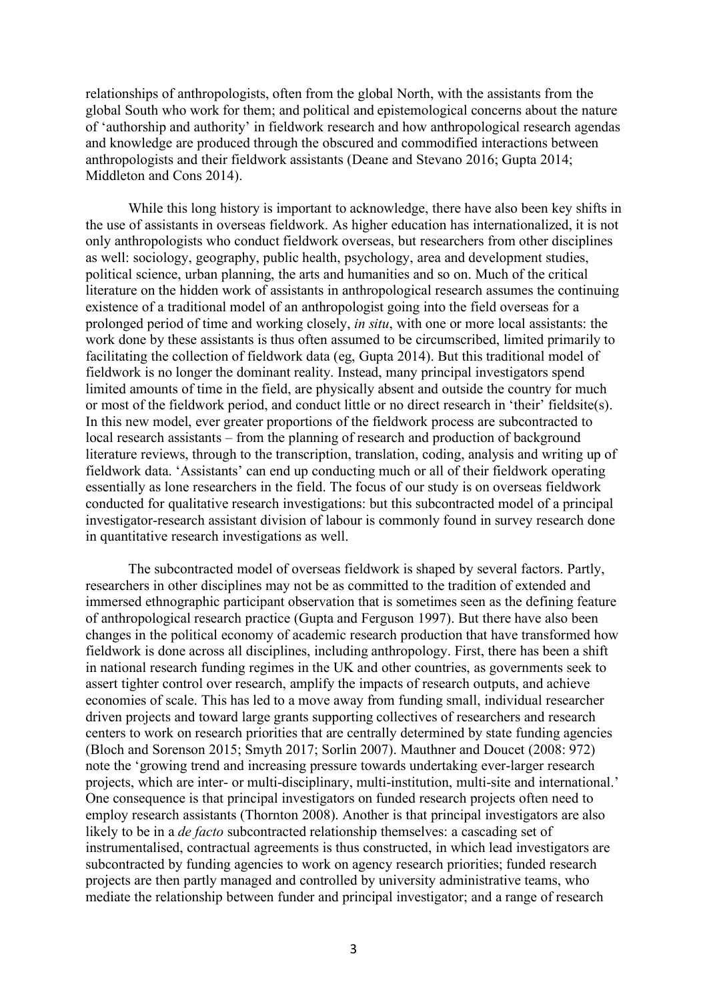relationships of anthropologists, often from the global North, with the assistants from the global South who work for them; and political and epistemological concerns about the nature of 'authorship and authority' in fieldwork research and how anthropological research agendas and knowledge are produced through the obscured and commodified interactions between anthropologists and their fieldwork assistants (Deane and Stevano 2016; Gupta 2014; Middleton and Cons 2014).

While this long history is important to acknowledge, there have also been key shifts in the use of assistants in overseas fieldwork. As higher education has internationalized, it is not only anthropologists who conduct fieldwork overseas, but researchers from other disciplines as well: sociology, geography, public health, psychology, area and development studies, political science, urban planning, the arts and humanities and so on. Much of the critical literature on the hidden work of assistants in anthropological research assumes the continuing existence of a traditional model of an anthropologist going into the field overseas for a prolonged period of time and working closely, *in situ*, with one or more local assistants: the work done by these assistants is thus often assumed to be circumscribed, limited primarily to facilitating the collection of fieldwork data (eg, Gupta 2014). But this traditional model of fieldwork is no longer the dominant reality. Instead, many principal investigators spend limited amounts of time in the field, are physically absent and outside the country for much or most of the fieldwork period, and conduct little or no direct research in 'their' fieldsite(s). In this new model, ever greater proportions of the fieldwork process are subcontracted to local research assistants – from the planning of research and production of background literature reviews, through to the transcription, translation, coding, analysis and writing up of fieldwork data. 'Assistants' can end up conducting much or all of their fieldwork operating essentially as lone researchers in the field. The focus of our study is on overseas fieldwork conducted for qualitative research investigations: but this subcontracted model of a principal investigator-research assistant division of labour is commonly found in survey research done in quantitative research investigations as well.

The subcontracted model of overseas fieldwork is shaped by several factors. Partly, researchers in other disciplines may not be as committed to the tradition of extended and immersed ethnographic participant observation that is sometimes seen as the defining feature of anthropological research practice (Gupta and Ferguson 1997). But there have also been changes in the political economy of academic research production that have transformed how fieldwork is done across all disciplines, including anthropology. First, there has been a shift in national research funding regimes in the UK and other countries, as governments seek to assert tighter control over research, amplify the impacts of research outputs, and achieve economies of scale. This has led to a move away from funding small, individual researcher driven projects and toward large grants supporting collectives of researchers and research centers to work on research priorities that are centrally determined by state funding agencies (Bloch and Sorenson 2015; Smyth 2017; Sorlin 2007). Mauthner and Doucet (2008: 972) note the 'growing trend and increasing pressure towards undertaking ever-larger research projects, which are inter- or multi-disciplinary, multi-institution, multi-site and international.' One consequence is that principal investigators on funded research projects often need to employ research assistants (Thornton 2008). Another is that principal investigators are also likely to be in a *de facto* subcontracted relationship themselves: a cascading set of instrumentalised, contractual agreements is thus constructed, in which lead investigators are subcontracted by funding agencies to work on agency research priorities; funded research projects are then partly managed and controlled by university administrative teams, who mediate the relationship between funder and principal investigator; and a range of research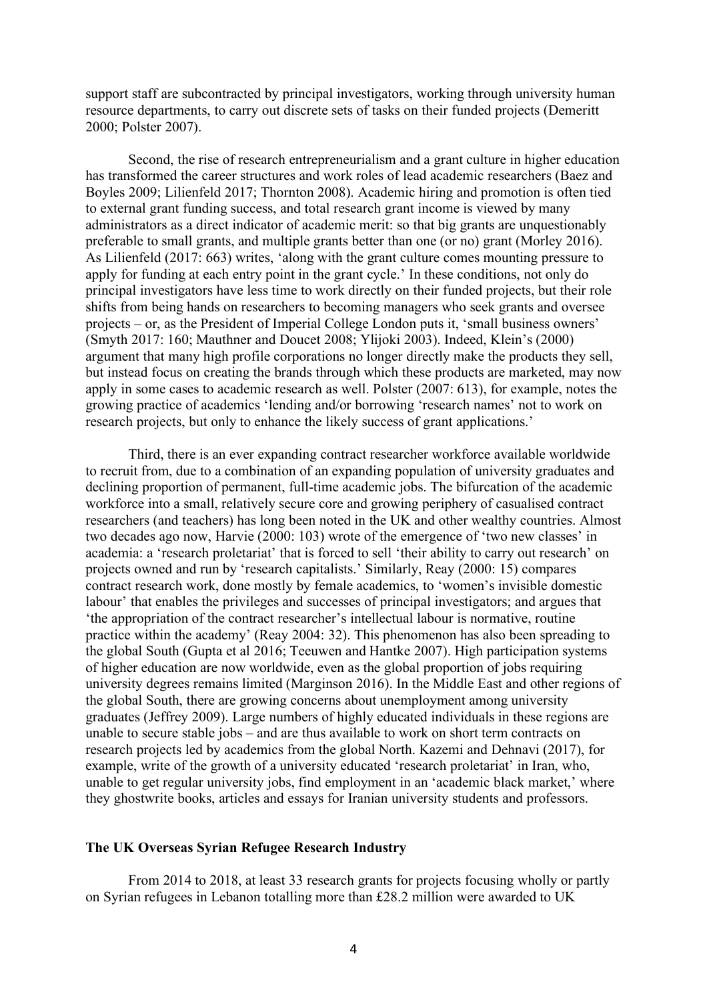support staff are subcontracted by principal investigators, working through university human resource departments, to carry out discrete sets of tasks on their funded projects (Demeritt 2000; Polster 2007).

Second, the rise of research entrepreneurialism and a grant culture in higher education has transformed the career structures and work roles of lead academic researchers (Baez and Boyles 2009; Lilienfeld 2017; Thornton 2008). Academic hiring and promotion is often tied to external grant funding success, and total research grant income is viewed by many administrators as a direct indicator of academic merit: so that big grants are unquestionably preferable to small grants, and multiple grants better than one (or no) grant (Morley 2016). As Lilienfeld (2017: 663) writes, 'along with the grant culture comes mounting pressure to apply for funding at each entry point in the grant cycle.' In these conditions, not only do principal investigators have less time to work directly on their funded projects, but their role shifts from being hands on researchers to becoming managers who seek grants and oversee projects – or, as the President of Imperial College London puts it, 'small business owners' (Smyth 2017: 160; Mauthner and Doucet 2008; Ylijoki 2003). Indeed, Klein's (2000) argument that many high profile corporations no longer directly make the products they sell, but instead focus on creating the brands through which these products are marketed, may now apply in some cases to academic research as well. Polster (2007: 613), for example, notes the growing practice of academics 'lending and/or borrowing 'research names' not to work on research projects, but only to enhance the likely success of grant applications.'

Third, there is an ever expanding contract researcher workforce available worldwide to recruit from, due to a combination of an expanding population of university graduates and declining proportion of permanent, full-time academic jobs. The bifurcation of the academic workforce into a small, relatively secure core and growing periphery of casualised contract researchers (and teachers) has long been noted in the UK and other wealthy countries. Almost two decades ago now, Harvie (2000: 103) wrote of the emergence of 'two new classes' in academia: a 'research proletariat' that is forced to sell 'their ability to carry out research' on projects owned and run by 'research capitalists.' Similarly, Reay (2000: 15) compares contract research work, done mostly by female academics, to 'women's invisible domestic labour' that enables the privileges and successes of principal investigators; and argues that 'the appropriation of the contract researcher's intellectual labour is normative, routine practice within the academy' (Reay 2004: 32). This phenomenon has also been spreading to the global South (Gupta et al 2016; Teeuwen and Hantke 2007). High participation systems of higher education are now worldwide, even as the global proportion of jobs requiring university degrees remains limited (Marginson 2016). In the Middle East and other regions of the global South, there are growing concerns about unemployment among university graduates (Jeffrey 2009). Large numbers of highly educated individuals in these regions are unable to secure stable jobs – and are thus available to work on short term contracts on research projects led by academics from the global North. Kazemi and Dehnavi (2017), for example, write of the growth of a university educated 'research proletariat' in Iran, who, unable to get regular university jobs, find employment in an 'academic black market,' where they ghostwrite books, articles and essays for Iranian university students and professors.

## **The UK Overseas Syrian Refugee Research Industry**

From 2014 to 2018, at least 33 research grants for projects focusing wholly or partly on Syrian refugees in Lebanon totalling more than £28.2 million were awarded to UK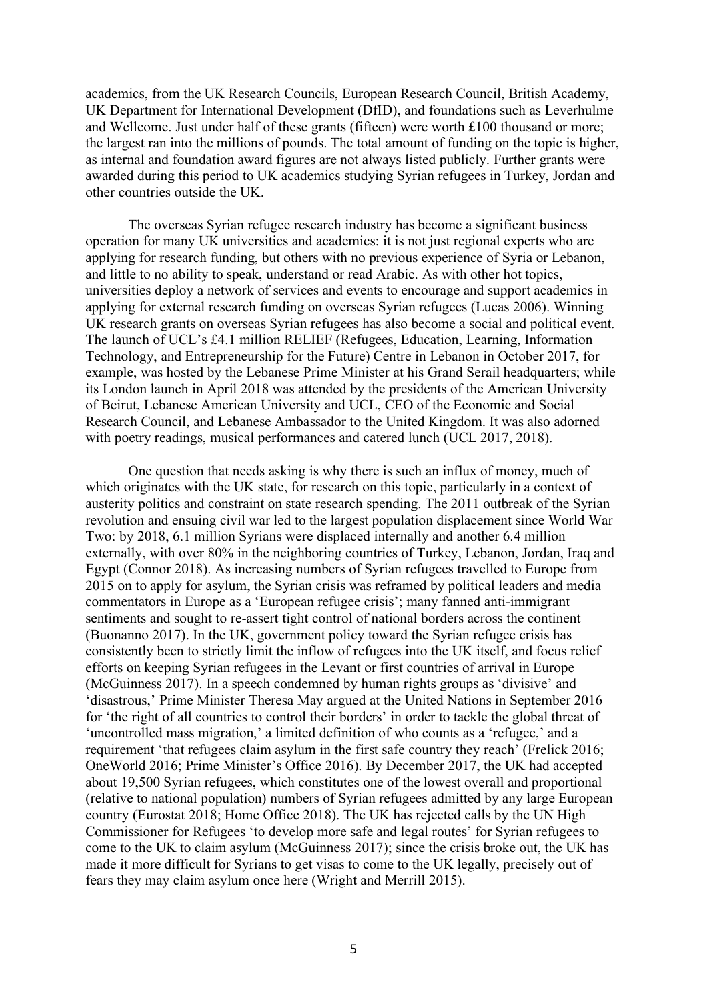academics, from the UK Research Councils, European Research Council, British Academy, UK Department for International Development (DfID), and foundations such as Leverhulme and Wellcome. Just under half of these grants (fifteen) were worth £100 thousand or more; the largest ran into the millions of pounds. The total amount of funding on the topic is higher, as internal and foundation award figures are not always listed publicly. Further grants were awarded during this period to UK academics studying Syrian refugees in Turkey, Jordan and other countries outside the UK.

The overseas Syrian refugee research industry has become a significant business operation for many UK universities and academics: it is not just regional experts who are applying for research funding, but others with no previous experience of Syria or Lebanon, and little to no ability to speak, understand or read Arabic. As with other hot topics, universities deploy a network of services and events to encourage and support academics in applying for external research funding on overseas Syrian refugees (Lucas 2006). Winning UK research grants on overseas Syrian refugees has also become a social and political event. The launch of UCL's £4.1 million RELIEF (Refugees, Education, Learning, Information Technology, and Entrepreneurship for the Future) Centre in Lebanon in October 2017, for example, was hosted by the Lebanese Prime Minister at his Grand Serail headquarters; while its London launch in April 2018 was attended by the presidents of the American University of Beirut, Lebanese American University and UCL, CEO of the Economic and Social Research Council, and Lebanese Ambassador to the United Kingdom. It was also adorned with poetry readings, musical performances and catered lunch (UCL 2017, 2018).

One question that needs asking is why there is such an influx of money, much of which originates with the UK state, for research on this topic, particularly in a context of austerity politics and constraint on state research spending. The 2011 outbreak of the Syrian revolution and ensuing civil war led to the largest population displacement since World War Two: by 2018, 6.1 million Syrians were displaced internally and another 6.4 million externally, with over 80% in the neighboring countries of Turkey, Lebanon, Jordan, Iraq and Egypt (Connor 2018). As increasing numbers of Syrian refugees travelled to Europe from 2015 on to apply for asylum, the Syrian crisis was reframed by political leaders and media commentators in Europe as a 'European refugee crisis'; many fanned anti-immigrant sentiments and sought to re-assert tight control of national borders across the continent (Buonanno 2017). In the UK, government policy toward the Syrian refugee crisis has consistently been to strictly limit the inflow of refugees into the UK itself, and focus relief efforts on keeping Syrian refugees in the Levant or first countries of arrival in Europe (McGuinness 2017). In a speech condemned by human rights groups as 'divisive' and 'disastrous,' Prime Minister Theresa May argued at the United Nations in September 2016 for 'the right of all countries to control their borders' in order to tackle the global threat of 'uncontrolled mass migration,' a limited definition of who counts as a 'refugee,' and a requirement 'that refugees claim asylum in the first safe country they reach' (Frelick 2016; OneWorld 2016; Prime Minister's Office 2016). By December 2017, the UK had accepted about 19,500 Syrian refugees, which constitutes one of the lowest overall and proportional (relative to national population) numbers of Syrian refugees admitted by any large European country (Eurostat 2018; Home Office 2018). The UK has rejected calls by the UN High Commissioner for Refugees 'to develop more safe and legal routes' for Syrian refugees to come to the UK to claim asylum (McGuinness 2017); since the crisis broke out, the UK has made it more difficult for Syrians to get visas to come to the UK legally, precisely out of fears they may claim asylum once here (Wright and Merrill 2015).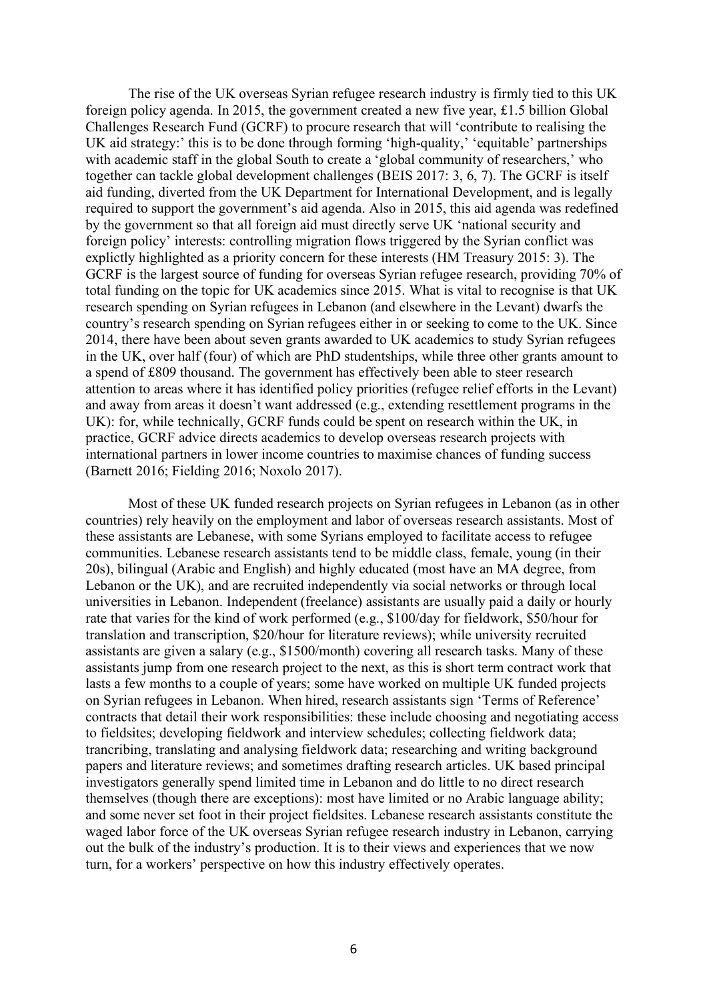The rise of the UK overseas Syrian refugee research industry is firmly tied to this UK foreign policy agenda. In 2015, the government created a new five year, £1.5 billion Global Challenges Research Fund (GCRF) to procure research that will 'contribute to realising the UK aid strategy:' this is to be done through forming 'high-quality,' 'equitable' partnerships with academic staff in the global South to create a 'global community of researchers,' who together can tackle global development challenges (BEIS 2017: 3, 6, 7). The GCRF is itself aid funding, diverted from the UK Department for International Development, and is legally required to support the government's aid agenda. Also in 2015, this aid agenda was redefined by the government so that all foreign aid must directly serve UK 'national security and foreign policy' interests: controlling migration flows triggered by the Syrian conflict was explictly highlighted as a priority concern for these interests (HM Treasury 2015: 3). The GCRF is the largest source of funding for overseas Syrian refugee research, providing 70% of total funding on the topic for UK academics since 2015. What is vital to recognise is that UK research spending on Syrian refugees in Lebanon (and elsewhere in the Levant) dwarfs the country's research spending on Syrian refugees either in or seeking to come to the UK. Since 2014, there have been about seven grants awarded to UK academics to study Syrian refugees in the UK, over half (four) of which are PhD studentships, while three other grants amount to a spend of £809 thousand. The government has effectively been able to steer research attention to areas where it has identified policy priorities (refugee relief efforts in the Levant) and away from areas it doesn't want addressed (e.g., extending resettlement programs in the UK): for, while technically, GCRF funds could be spent on research within the UK, in practice, GCRF advice directs academics to develop overseas research projects with international partners in lower income countries to maximise chances of funding success (Barnett 2016; Fielding 2016; Noxolo 2017).

Most of these UK funded research projects on Syrian refugees in Lebanon (as in other countries) rely heavily on the employment and labor of overseas research assistants. Most of these assistants are Lebanese, with some Syrians employed to facilitate access to refugee communities. Lebanese research assistants tend to be middle class, female, young (in their 20s), bilingual (Arabic and English) and highly educated (most have an MA degree, from Lebanon or the UK), and are recruited independently via social networks or through local universities in Lebanon. Independent (freelance) assistants are usually paid a daily or hourly rate that varies for the kind of work performed (e.g., \$100/day for fieldwork, \$50/hour for translation and transcription, \$20/hour for literature reviews); while university recruited assistants are given a salary (e.g., \$1500/month) covering all research tasks. Many of these assistants jump from one research project to the next, as this is short term contract work that lasts a few months to a couple of years; some have worked on multiple UK funded projects on Syrian refugees in Lebanon. When hired, research assistants sign 'Terms of Reference' contracts that detail their work responsibilities: these include choosing and negotiating access to fieldsites; developing fieldwork and interview schedules; collecting fieldwork data; trancribing, translating and analysing fieldwork data; researching and writing background papers and literature reviews; and sometimes drafting research articles. UK based principal investigators generally spend limited time in Lebanon and do little to no direct research themselves (though there are exceptions): most have limited or no Arabic language ability; and some never set foot in their project fieldsites. Lebanese research assistants constitute the waged labor force of the UK overseas Syrian refugee research industry in Lebanon, carrying out the bulk of the industry's production. It is to their views and experiences that we now turn, for a workers' perspective on how this industry effectively operates.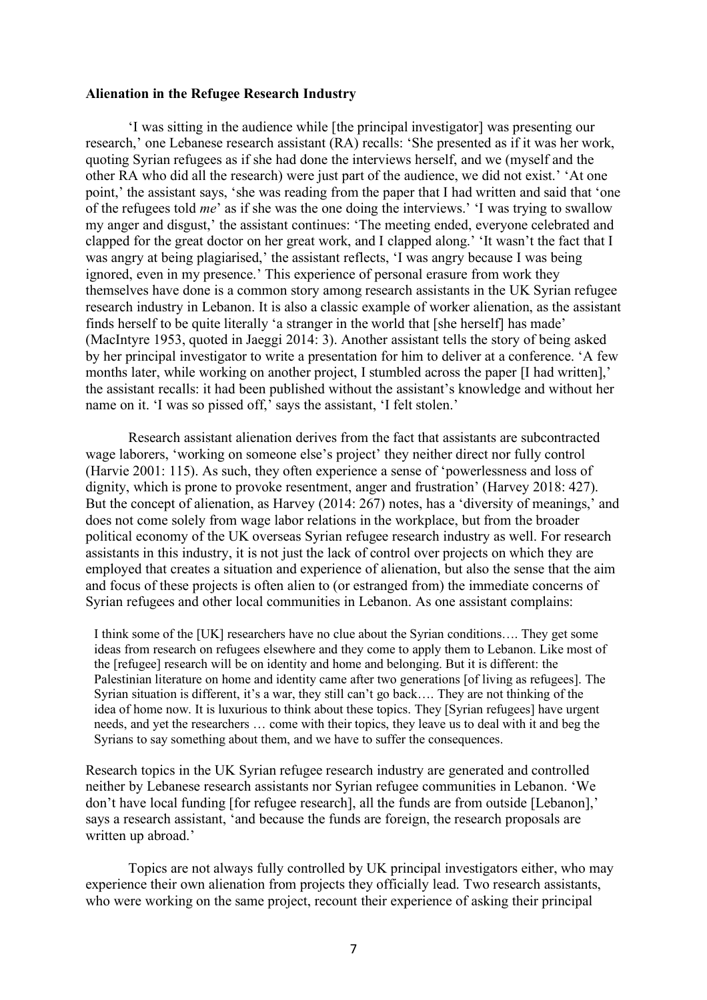## **Alienation in the Refugee Research Industry**

'I was sitting in the audience while [the principal investigator] was presenting our research,' one Lebanese research assistant (RA) recalls: 'She presented as if it was her work, quoting Syrian refugees as if she had done the interviews herself, and we (myself and the other RA who did all the research) were just part of the audience, we did not exist.' 'At one point,' the assistant says, 'she was reading from the paper that I had written and said that 'one of the refugees told *me*' as if she was the one doing the interviews.' 'I was trying to swallow my anger and disgust,' the assistant continues: 'The meeting ended, everyone celebrated and clapped for the great doctor on her great work, and I clapped along.' 'It wasn't the fact that I was angry at being plagiarised,' the assistant reflects, 'I was angry because I was being ignored, even in my presence.' This experience of personal erasure from work they themselves have done is a common story among research assistants in the UK Syrian refugee research industry in Lebanon. It is also a classic example of worker alienation, as the assistant finds herself to be quite literally 'a stranger in the world that [she herself] has made' (MacIntyre 1953, quoted in Jaeggi 2014: 3). Another assistant tells the story of being asked by her principal investigator to write a presentation for him to deliver at a conference. 'A few months later, while working on another project, I stumbled across the paper [I had written],' the assistant recalls: it had been published without the assistant's knowledge and without her name on it. 'I was so pissed off,' says the assistant, 'I felt stolen.'

Research assistant alienation derives from the fact that assistants are subcontracted wage laborers, 'working on someone else's project' they neither direct nor fully control (Harvie 2001: 115). As such, they often experience a sense of 'powerlessness and loss of dignity, which is prone to provoke resentment, anger and frustration' (Harvey 2018: 427). But the concept of alienation, as Harvey (2014: 267) notes, has a 'diversity of meanings,' and does not come solely from wage labor relations in the workplace, but from the broader political economy of the UK overseas Syrian refugee research industry as well. For research assistants in this industry, it is not just the lack of control over projects on which they are employed that creates a situation and experience of alienation, but also the sense that the aim and focus of these projects is often alien to (or estranged from) the immediate concerns of Syrian refugees and other local communities in Lebanon. As one assistant complains:

I think some of the [UK] researchers have no clue about the Syrian conditions…. They get some ideas from research on refugees elsewhere and they come to apply them to Lebanon. Like most of the [refugee] research will be on identity and home and belonging. But it is different: the Palestinian literature on home and identity came after two generations [of living as refugees]. The Syrian situation is different, it's a war, they still can't go back…. They are not thinking of the idea of home now. It is luxurious to think about these topics. They [Syrian refugees] have urgent needs, and yet the researchers … come with their topics, they leave us to deal with it and beg the Syrians to say something about them, and we have to suffer the consequences.

Research topics in the UK Syrian refugee research industry are generated and controlled neither by Lebanese research assistants nor Syrian refugee communities in Lebanon. 'We don't have local funding [for refugee research], all the funds are from outside [Lebanon],' says a research assistant, 'and because the funds are foreign, the research proposals are written up abroad.'

Topics are not always fully controlled by UK principal investigators either, who may experience their own alienation from projects they officially lead. Two research assistants, who were working on the same project, recount their experience of asking their principal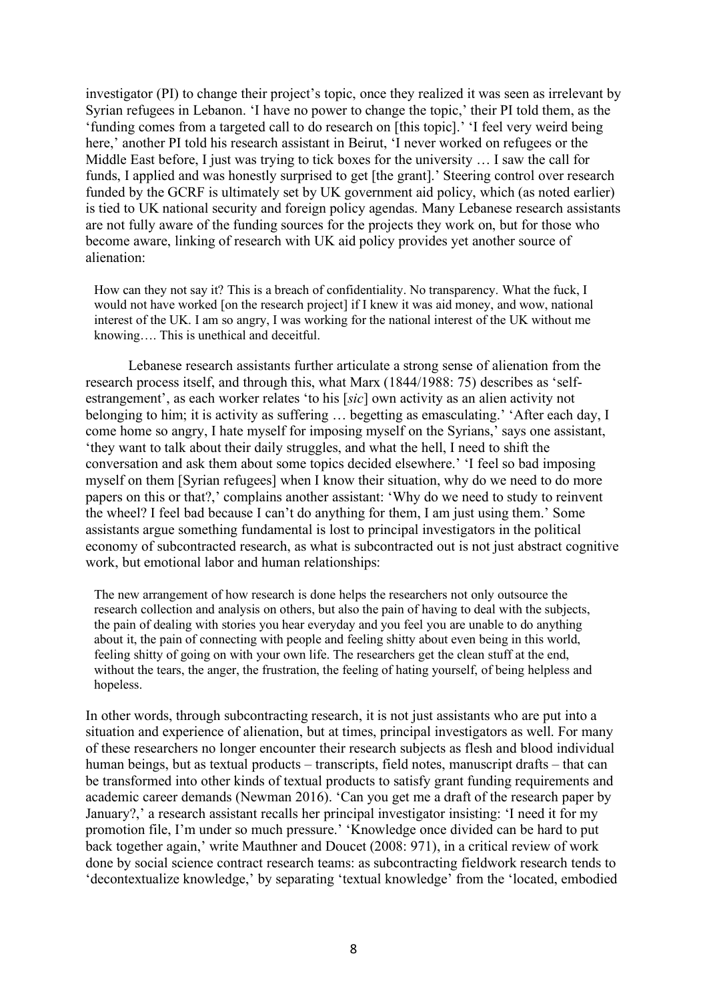investigator (PI) to change their project's topic, once they realized it was seen as irrelevant by Syrian refugees in Lebanon. 'I have no power to change the topic,' their PI told them, as the 'funding comes from a targeted call to do research on [this topic].' 'I feel very weird being here,' another PI told his research assistant in Beirut, 'I never worked on refugees or the Middle East before, I just was trying to tick boxes for the university … I saw the call for funds, I applied and was honestly surprised to get [the grant].' Steering control over research funded by the GCRF is ultimately set by UK government aid policy, which (as noted earlier) is tied to UK national security and foreign policy agendas. Many Lebanese research assistants are not fully aware of the funding sources for the projects they work on, but for those who become aware, linking of research with UK aid policy provides yet another source of alienation:

How can they not say it? This is a breach of confidentiality. No transparency. What the fuck, I would not have worked [on the research project] if I knew it was aid money, and wow, national interest of the UK. I am so angry, I was working for the national interest of the UK without me knowing…. This is unethical and deceitful.

Lebanese research assistants further articulate a strong sense of alienation from the research process itself, and through this, what Marx (1844/1988: 75) describes as 'selfestrangement', as each worker relates 'to his [*sic*] own activity as an alien activity not belonging to him; it is activity as suffering … begetting as emasculating.' 'After each day, I come home so angry, I hate myself for imposing myself on the Syrians,' says one assistant, 'they want to talk about their daily struggles, and what the hell, I need to shift the conversation and ask them about some topics decided elsewhere.' 'I feel so bad imposing myself on them [Syrian refugees] when I know their situation, why do we need to do more papers on this or that?,' complains another assistant: 'Why do we need to study to reinvent the wheel? I feel bad because I can't do anything for them, I am just using them.' Some assistants argue something fundamental is lost to principal investigators in the political economy of subcontracted research, as what is subcontracted out is not just abstract cognitive work, but emotional labor and human relationships:

The new arrangement of how research is done helps the researchers not only outsource the research collection and analysis on others, but also the pain of having to deal with the subjects, the pain of dealing with stories you hear everyday and you feel you are unable to do anything about it, the pain of connecting with people and feeling shitty about even being in this world, feeling shitty of going on with your own life. The researchers get the clean stuff at the end, without the tears, the anger, the frustration, the feeling of hating yourself, of being helpless and hopeless.

In other words, through subcontracting research, it is not just assistants who are put into a situation and experience of alienation, but at times, principal investigators as well. For many of these researchers no longer encounter their research subjects as flesh and blood individual human beings, but as textual products – transcripts, field notes, manuscript drafts – that can be transformed into other kinds of textual products to satisfy grant funding requirements and academic career demands (Newman 2016). 'Can you get me a draft of the research paper by January?,' a research assistant recalls her principal investigator insisting: 'I need it for my promotion file, I'm under so much pressure.' 'Knowledge once divided can be hard to put back together again,' write Mauthner and Doucet (2008: 971), in a critical review of work done by social science contract research teams: as subcontracting fieldwork research tends to 'decontextualize knowledge,' by separating 'textual knowledge' from the 'located, embodied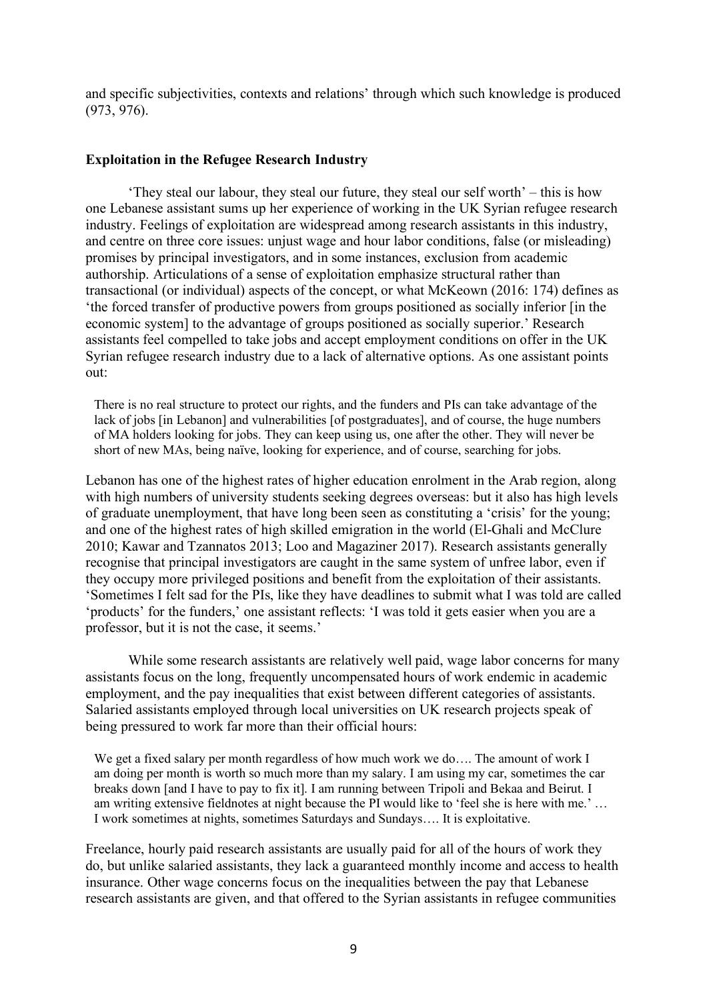and specific subjectivities, contexts and relations' through which such knowledge is produced (973, 976).

# **Exploitation in the Refugee Research Industry**

'They steal our labour, they steal our future, they steal our self worth' – this is how one Lebanese assistant sums up her experience of working in the UK Syrian refugee research industry. Feelings of exploitation are widespread among research assistants in this industry, and centre on three core issues: unjust wage and hour labor conditions, false (or misleading) promises by principal investigators, and in some instances, exclusion from academic authorship. Articulations of a sense of exploitation emphasize structural rather than transactional (or individual) aspects of the concept, or what McKeown (2016: 174) defines as 'the forced transfer of productive powers from groups positioned as socially inferior [in the economic system] to the advantage of groups positioned as socially superior.' Research assistants feel compelled to take jobs and accept employment conditions on offer in the UK Syrian refugee research industry due to a lack of alternative options. As one assistant points out:

There is no real structure to protect our rights, and the funders and PIs can take advantage of the lack of jobs [in Lebanon] and vulnerabilities [of postgraduates], and of course, the huge numbers of MA holders looking for jobs. They can keep using us, one after the other. They will never be short of new MAs, being naïve, looking for experience, and of course, searching for jobs.

Lebanon has one of the highest rates of higher education enrolment in the Arab region, along with high numbers of university students seeking degrees overseas: but it also has high levels of graduate unemployment, that have long been seen as constituting a 'crisis' for the young; and one of the highest rates of high skilled emigration in the world (El-Ghali and McClure 2010; Kawar and Tzannatos 2013; Loo and Magaziner 2017). Research assistants generally recognise that principal investigators are caught in the same system of unfree labor, even if they occupy more privileged positions and benefit from the exploitation of their assistants. 'Sometimes I felt sad for the PIs, like they have deadlines to submit what I was told are called 'products' for the funders,' one assistant reflects: 'I was told it gets easier when you are a professor, but it is not the case, it seems.'

While some research assistants are relatively well paid, wage labor concerns for many assistants focus on the long, frequently uncompensated hours of work endemic in academic employment, and the pay inequalities that exist between different categories of assistants. Salaried assistants employed through local universities on UK research projects speak of being pressured to work far more than their official hours:

We get a fixed salary per month regardless of how much work we do.... The amount of work I am doing per month is worth so much more than my salary. I am using my car, sometimes the car breaks down [and I have to pay to fix it]. I am running between Tripoli and Bekaa and Beirut. I am writing extensive fieldnotes at night because the PI would like to 'feel she is here with me.' … I work sometimes at nights, sometimes Saturdays and Sundays…. It is exploitative.

Freelance, hourly paid research assistants are usually paid for all of the hours of work they do, but unlike salaried assistants, they lack a guaranteed monthly income and access to health insurance. Other wage concerns focus on the inequalities between the pay that Lebanese research assistants are given, and that offered to the Syrian assistants in refugee communities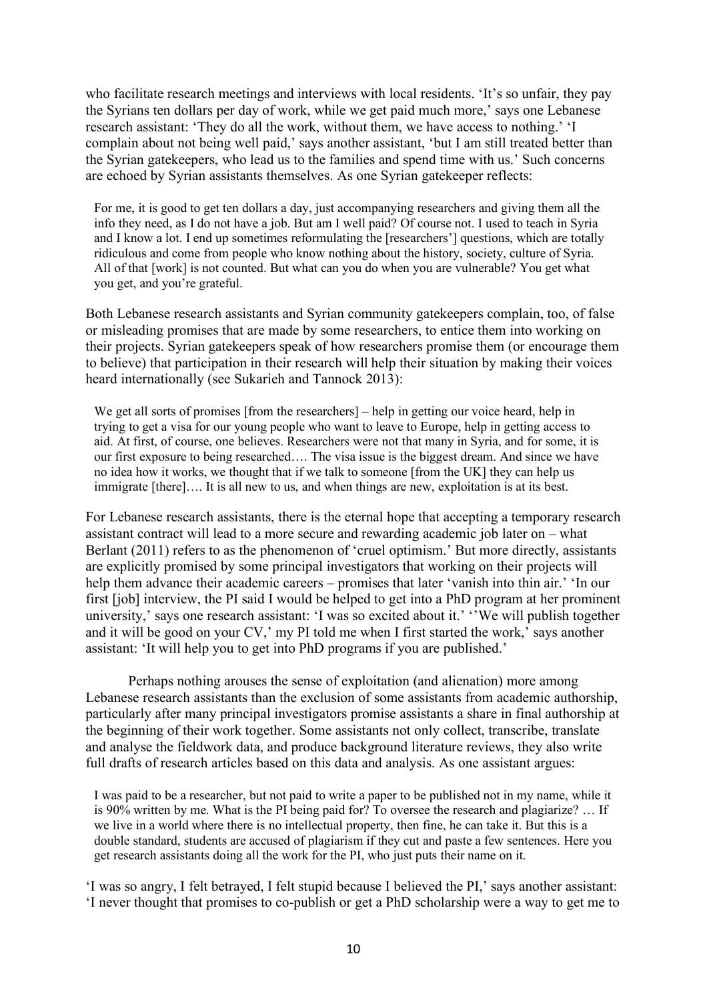who facilitate research meetings and interviews with local residents. 'It's so unfair, they pay the Syrians ten dollars per day of work, while we get paid much more,' says one Lebanese research assistant: 'They do all the work, without them, we have access to nothing.' 'I complain about not being well paid,' says another assistant, 'but I am still treated better than the Syrian gatekeepers, who lead us to the families and spend time with us.' Such concerns are echoed by Syrian assistants themselves. As one Syrian gatekeeper reflects:

For me, it is good to get ten dollars a day, just accompanying researchers and giving them all the info they need, as I do not have a job. But am I well paid? Of course not. I used to teach in Syria and I know a lot. I end up sometimes reformulating the [researchers'] questions, which are totally ridiculous and come from people who know nothing about the history, society, culture of Syria. All of that [work] is not counted. But what can you do when you are vulnerable? You get what you get, and you're grateful.

Both Lebanese research assistants and Syrian community gatekeepers complain, too, of false or misleading promises that are made by some researchers, to entice them into working on their projects. Syrian gatekeepers speak of how researchers promise them (or encourage them to believe) that participation in their research will help their situation by making their voices heard internationally (see Sukarieh and Tannock 2013):

We get all sorts of promises [from the researchers] – help in getting our voice heard, help in trying to get a visa for our young people who want to leave to Europe, help in getting access to aid. At first, of course, one believes. Researchers were not that many in Syria, and for some, it is our first exposure to being researched…. The visa issue is the biggest dream. And since we have no idea how it works, we thought that if we talk to someone [from the UK] they can help us immigrate [there]…. It is all new to us, and when things are new, exploitation is at its best.

For Lebanese research assistants, there is the eternal hope that accepting a temporary research assistant contract will lead to a more secure and rewarding academic job later on – what Berlant (2011) refers to as the phenomenon of 'cruel optimism.' But more directly, assistants are explicitly promised by some principal investigators that working on their projects will help them advance their academic careers – promises that later 'vanish into thin air.' 'In our first [job] interview, the PI said I would be helped to get into a PhD program at her prominent university,' says one research assistant: 'I was so excited about it.' "We will publish together and it will be good on your CV,' my PI told me when I first started the work,' says another assistant: 'It will help you to get into PhD programs if you are published.'

Perhaps nothing arouses the sense of exploitation (and alienation) more among Lebanese research assistants than the exclusion of some assistants from academic authorship, particularly after many principal investigators promise assistants a share in final authorship at the beginning of their work together. Some assistants not only collect, transcribe, translate and analyse the fieldwork data, and produce background literature reviews, they also write full drafts of research articles based on this data and analysis. As one assistant argues:

I was paid to be a researcher, but not paid to write a paper to be published not in my name, while it is 90% written by me. What is the PI being paid for? To oversee the research and plagiarize? … If we live in a world where there is no intellectual property, then fine, he can take it. But this is a double standard, students are accused of plagiarism if they cut and paste a few sentences. Here you get research assistants doing all the work for the PI, who just puts their name on it.

'I was so angry, I felt betrayed, I felt stupid because I believed the PI,' says another assistant: 'I never thought that promises to co-publish or get a PhD scholarship were a way to get me to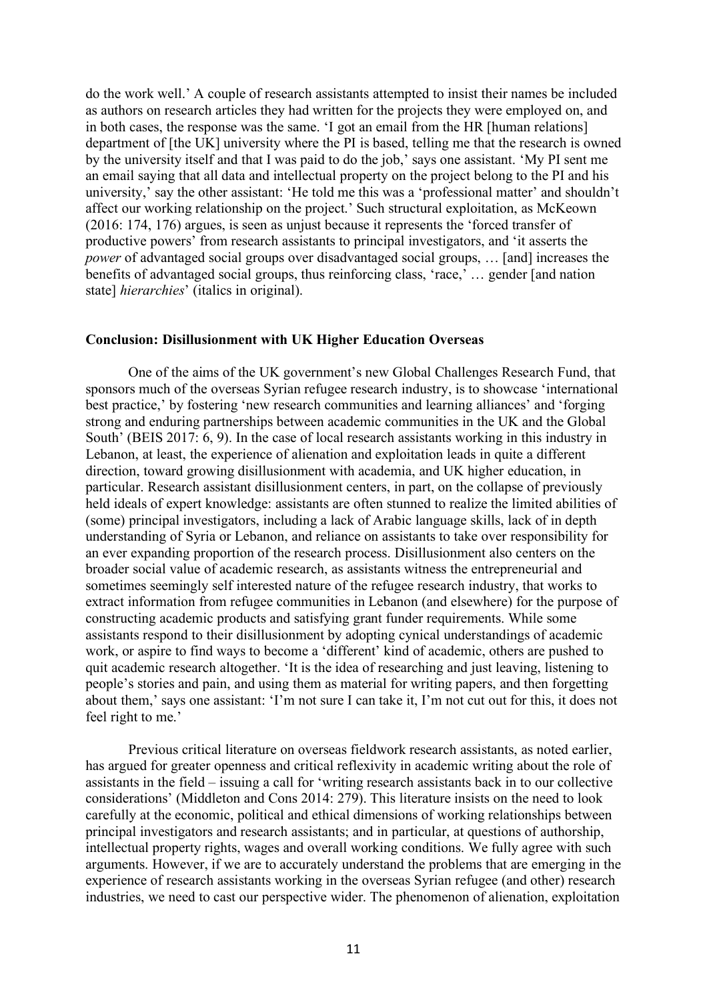do the work well.' A couple of research assistants attempted to insist their names be included as authors on research articles they had written for the projects they were employed on, and in both cases, the response was the same. 'I got an email from the HR [human relations] department of [the UK] university where the PI is based, telling me that the research is owned by the university itself and that I was paid to do the job,' says one assistant. 'My PI sent me an email saying that all data and intellectual property on the project belong to the PI and his university,' say the other assistant: 'He told me this was a 'professional matter' and shouldn't affect our working relationship on the project.' Such structural exploitation, as McKeown (2016: 174, 176) argues, is seen as unjust because it represents the 'forced transfer of productive powers' from research assistants to principal investigators, and 'it asserts the *power* of advantaged social groups over disadvantaged social groups, ... [and] increases the benefits of advantaged social groups, thus reinforcing class, 'race,' … gender [and nation state] *hierarchies*' (italics in original).

## **Conclusion: Disillusionment with UK Higher Education Overseas**

One of the aims of the UK government's new Global Challenges Research Fund, that sponsors much of the overseas Syrian refugee research industry, is to showcase 'international best practice,' by fostering 'new research communities and learning alliances' and 'forging strong and enduring partnerships between academic communities in the UK and the Global South' (BEIS 2017: 6, 9). In the case of local research assistants working in this industry in Lebanon, at least, the experience of alienation and exploitation leads in quite a different direction, toward growing disillusionment with academia, and UK higher education, in particular. Research assistant disillusionment centers, in part, on the collapse of previously held ideals of expert knowledge: assistants are often stunned to realize the limited abilities of (some) principal investigators, including a lack of Arabic language skills, lack of in depth understanding of Syria or Lebanon, and reliance on assistants to take over responsibility for an ever expanding proportion of the research process. Disillusionment also centers on the broader social value of academic research, as assistants witness the entrepreneurial and sometimes seemingly self interested nature of the refugee research industry, that works to extract information from refugee communities in Lebanon (and elsewhere) for the purpose of constructing academic products and satisfying grant funder requirements. While some assistants respond to their disillusionment by adopting cynical understandings of academic work, or aspire to find ways to become a 'different' kind of academic, others are pushed to quit academic research altogether. 'It is the idea of researching and just leaving, listening to people's stories and pain, and using them as material for writing papers, and then forgetting about them,' says one assistant: 'I'm not sure I can take it, I'm not cut out for this, it does not feel right to me.'

Previous critical literature on overseas fieldwork research assistants, as noted earlier, has argued for greater openness and critical reflexivity in academic writing about the role of assistants in the field – issuing a call for 'writing research assistants back in to our collective considerations' (Middleton and Cons 2014: 279). This literature insists on the need to look carefully at the economic, political and ethical dimensions of working relationships between principal investigators and research assistants; and in particular, at questions of authorship, intellectual property rights, wages and overall working conditions. We fully agree with such arguments. However, if we are to accurately understand the problems that are emerging in the experience of research assistants working in the overseas Syrian refugee (and other) research industries, we need to cast our perspective wider. The phenomenon of alienation, exploitation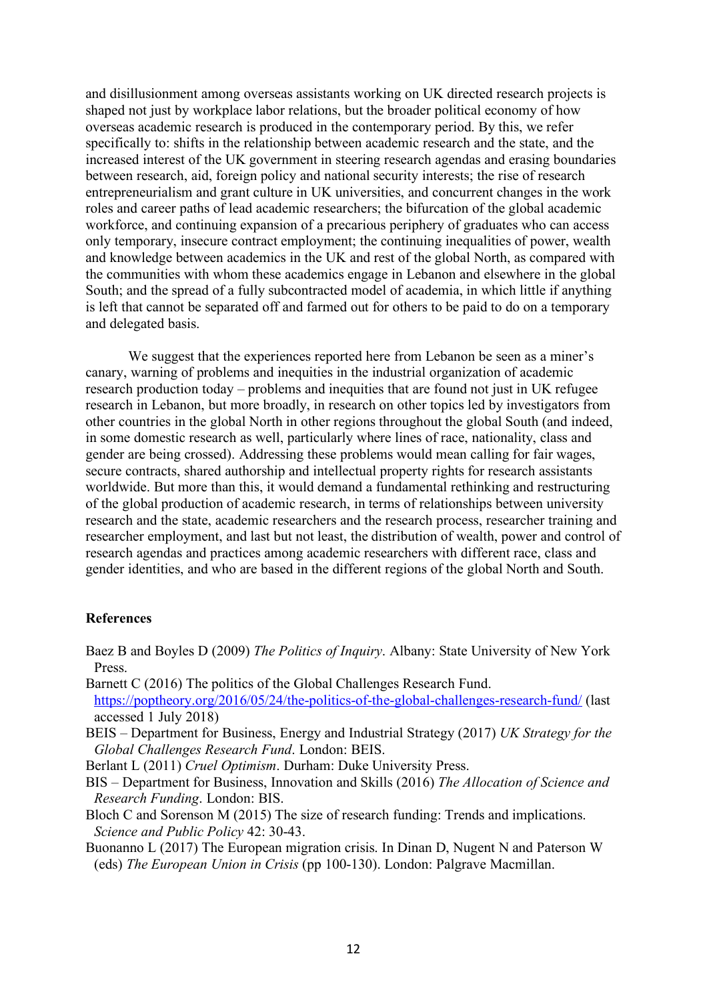and disillusionment among overseas assistants working on UK directed research projects is shaped not just by workplace labor relations, but the broader political economy of how overseas academic research is produced in the contemporary period. By this, we refer specifically to: shifts in the relationship between academic research and the state, and the increased interest of the UK government in steering research agendas and erasing boundaries between research, aid, foreign policy and national security interests; the rise of research entrepreneurialism and grant culture in UK universities, and concurrent changes in the work roles and career paths of lead academic researchers; the bifurcation of the global academic workforce, and continuing expansion of a precarious periphery of graduates who can access only temporary, insecure contract employment; the continuing inequalities of power, wealth and knowledge between academics in the UK and rest of the global North, as compared with the communities with whom these academics engage in Lebanon and elsewhere in the global South; and the spread of a fully subcontracted model of academia, in which little if anything is left that cannot be separated off and farmed out for others to be paid to do on a temporary and delegated basis.

We suggest that the experiences reported here from Lebanon be seen as a miner's canary, warning of problems and inequities in the industrial organization of academic research production today – problems and inequities that are found not just in UK refugee research in Lebanon, but more broadly, in research on other topics led by investigators from other countries in the global North in other regions throughout the global South (and indeed, in some domestic research as well, particularly where lines of race, nationality, class and gender are being crossed). Addressing these problems would mean calling for fair wages, secure contracts, shared authorship and intellectual property rights for research assistants worldwide. But more than this, it would demand a fundamental rethinking and restructuring of the global production of academic research, in terms of relationships between university research and the state, academic researchers and the research process, researcher training and researcher employment, and last but not least, the distribution of wealth, power and control of research agendas and practices among academic researchers with different race, class and gender identities, and who are based in the different regions of the global North and South.

# **References**

- Baez B and Boyles D (2009) *The Politics of Inquiry*. Albany: State University of New York Press.
- Barnett C (2016) The politics of the Global Challenges Research Fund. https://poptheory.org/2016/05/24/the-politics-of-the-global-challenges-research-fund/ (last accessed 1 July 2018)
- BEIS Department for Business, Energy and Industrial Strategy (2017) *UK Strategy for the Global Challenges Research Fund*. London: BEIS.
- Berlant L (2011) *Cruel Optimism*. Durham: Duke University Press.
- BIS Department for Business, Innovation and Skills (2016) *The Allocation of Science and Research Funding*. London: BIS.
- Bloch C and Sorenson M (2015) The size of research funding: Trends and implications. *Science and Public Policy* 42: 30-43.
- Buonanno L (2017) The European migration crisis. In Dinan D, Nugent N and Paterson W (eds) *The European Union in Crisis* (pp 100-130). London: Palgrave Macmillan.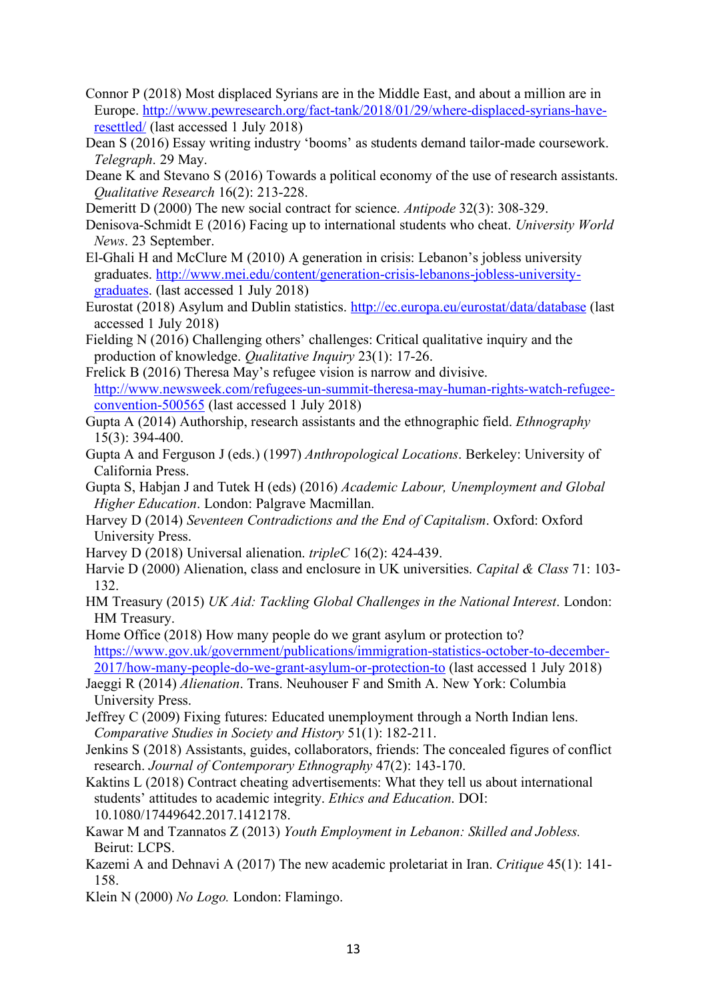- Connor P (2018) Most displaced Syrians are in the Middle East, and about a million are in Europe. http://www.pewresearch.org/fact-tank/2018/01/29/where-displaced-syrians-haveresettled/ (last accessed 1 July 2018)
- Dean S (2016) Essay writing industry 'booms' as students demand tailor-made coursework. *Telegraph*. 29 May.
- Deane K and Stevano S (2016) Towards a political economy of the use of research assistants. *Qualitative Research* 16(2): 213-228.
- Demeritt D (2000) The new social contract for science. *Antipode* 32(3): 308-329.
- Denisova-Schmidt E (2016) Facing up to international students who cheat. *University World News*. 23 September.
- El-Ghali H and McClure M (2010) A generation in crisis: Lebanon's jobless university graduates. http://www.mei.edu/content/generation-crisis-lebanons-jobless-universitygraduates. (last accessed 1 July 2018)
- Eurostat (2018) Asylum and Dublin statistics. http://ec.europa.eu/eurostat/data/database (last accessed 1 July 2018)
- Fielding N (2016) Challenging others' challenges: Critical qualitative inquiry and the production of knowledge. *Qualitative Inquiry* 23(1): 17-26.
- Frelick B (2016) Theresa May's refugee vision is narrow and divisive. http://www.newsweek.com/refugees-un-summit-theresa-may-human-rights-watch-refugeeconvention-500565 (last accessed 1 July 2018)
- Gupta A (2014) Authorship, research assistants and the ethnographic field. *Ethnography* 15(3): 394-400.
- Gupta A and Ferguson J (eds.) (1997) *Anthropological Locations*. Berkeley: University of California Press.
- Gupta S, Habjan J and Tutek H (eds) (2016) *Academic Labour, Unemployment and Global Higher Education*. London: Palgrave Macmillan.
- Harvey D (2014) *Seventeen Contradictions and the End of Capitalism*. Oxford: Oxford University Press.
- Harvey D (2018) Universal alienation. *tripleC* 16(2): 424-439.
- Harvie D (2000) Alienation, class and enclosure in UK universities. *Capital & Class* 71: 103- 132.
- HM Treasury (2015) *UK Aid: Tackling Global Challenges in the National Interest*. London: HM Treasury.
- Home Office (2018) How many people do we grant asylum or protection to? https://www.gov.uk/government/publications/immigration-statistics-october-to-december-2017/how-many-people-do-we-grant-asylum-or-protection-to (last accessed 1 July 2018)
- Jaeggi R (2014) *Alienation*. Trans. Neuhouser F and Smith A. New York: Columbia University Press.
- Jeffrey C (2009) Fixing futures: Educated unemployment through a North Indian lens. *Comparative Studies in Society and History* 51(1): 182-211.
- Jenkins S (2018) Assistants, guides, collaborators, friends: The concealed figures of conflict research. *Journal of Contemporary Ethnography* 47(2): 143-170.
- Kaktins L (2018) Contract cheating advertisements: What they tell us about international students' attitudes to academic integrity. *Ethics and Education*. DOI: 10.1080/17449642.2017.1412178.
- Kawar M and Tzannatos Z (2013) *Youth Employment in Lebanon: Skilled and Jobless.* Beirut: LCPS.
- Kazemi A and Dehnavi A (2017) The new academic proletariat in Iran. *Critique* 45(1): 141- 158.
- Klein N (2000) *No Logo.* London: Flamingo.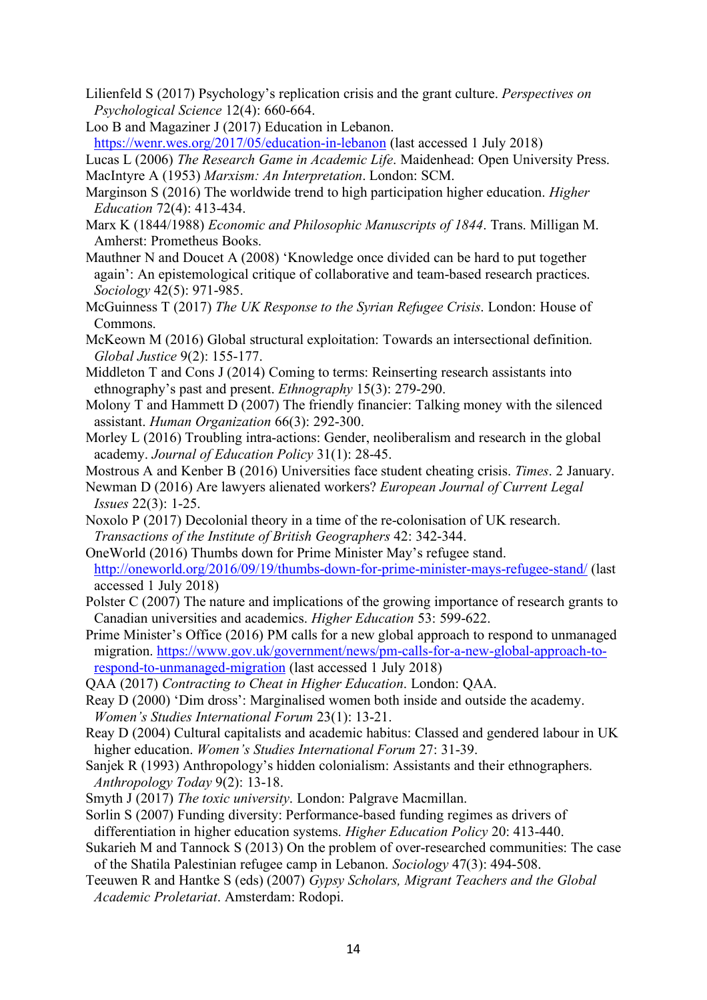- Lilienfeld S (2017) Psychology's replication crisis and the grant culture. *Perspectives on Psychological Science* 12(4): 660-664.
- Loo B and Magaziner J (2017) Education in Lebanon. https://wenr.wes.org/2017/05/education-in-lebanon (last accessed 1 July 2018)

Lucas L (2006) *The Research Game in Academic Life*. Maidenhead: Open University Press. MacIntyre A (1953) *Marxism: An Interpretation*. London: SCM.

- Marginson S (2016) The worldwide trend to high participation higher education. *Higher Education* 72(4): 413-434.
- Marx K (1844/1988) *Economic and Philosophic Manuscripts of 1844*. Trans. Milligan M. Amherst: Prometheus Books.
- Mauthner N and Doucet A (2008) 'Knowledge once divided can be hard to put together again': An epistemological critique of collaborative and team-based research practices. *Sociology* 42(5): 971-985.
- McGuinness T (2017) *The UK Response to the Syrian Refugee Crisis*. London: House of Commons.
- McKeown M (2016) Global structural exploitation: Towards an intersectional definition. *Global Justice* 9(2): 155-177.
- Middleton T and Cons J (2014) Coming to terms: Reinserting research assistants into ethnography's past and present. *Ethnography* 15(3): 279-290.
- Molony T and Hammett D (2007) The friendly financier: Talking money with the silenced assistant. *Human Organization* 66(3): 292-300.
- Morley L (2016) Troubling intra-actions: Gender, neoliberalism and research in the global academy. *Journal of Education Policy* 31(1): 28-45.
- Mostrous A and Kenber B (2016) Universities face student cheating crisis. *Times*. 2 January.
- Newman D (2016) Are lawyers alienated workers? *European Journal of Current Legal Issues* 22(3): 1-25.
- Noxolo P (2017) Decolonial theory in a time of the re-colonisation of UK research. *Transactions of the Institute of British Geographers* 42: 342-344.
- OneWorld (2016) Thumbs down for Prime Minister May's refugee stand. http://oneworld.org/2016/09/19/thumbs-down-for-prime-minister-mays-refugee-stand/ (last accessed 1 July 2018)
- Polster C (2007) The nature and implications of the growing importance of research grants to Canadian universities and academics. *Higher Education* 53: 599-622.
- Prime Minister's Office (2016) PM calls for a new global approach to respond to unmanaged migration. https://www.gov.uk/government/news/pm-calls-for-a-new-global-approach-torespond-to-unmanaged-migration (last accessed 1 July 2018)
- QAA (2017) *Contracting to Cheat in Higher Education*. London: QAA.
- Reay D (2000) 'Dim dross': Marginalised women both inside and outside the academy. *Women's Studies International Forum* 23(1): 13-21.
- Reay D (2004) Cultural capitalists and academic habitus: Classed and gendered labour in UK higher education. *Women's Studies International Forum* 27: 31-39.
- Sanjek R (1993) Anthropology's hidden colonialism: Assistants and their ethnographers. *Anthropology Today* 9(2): 13-18.
- Smyth J (2017) *The toxic university*. London: Palgrave Macmillan.
- Sorlin S (2007) Funding diversity: Performance-based funding regimes as drivers of differentiation in higher education systems. *Higher Education Policy* 20: 413-440.
- Sukarieh M and Tannock S (2013) On the problem of over-researched communities: The case of the Shatila Palestinian refugee camp in Lebanon. *Sociology* 47(3): 494-508.
- Teeuwen R and Hantke S (eds) (2007) *Gypsy Scholars, Migrant Teachers and the Global Academic Proletariat*. Amsterdam: Rodopi.